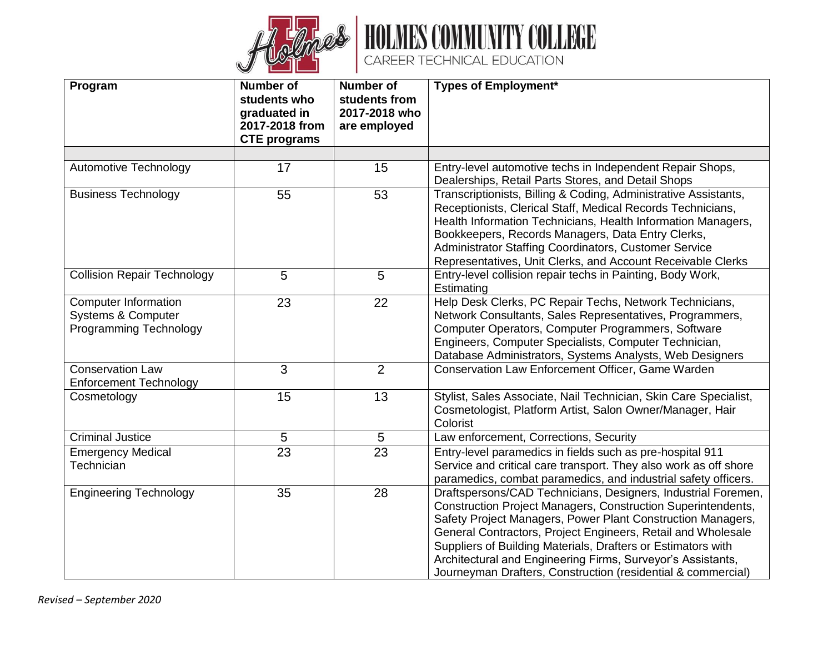



| Program                                                                                | <b>Number of</b><br>students who<br>graduated in<br>2017-2018 from<br><b>CTE</b> programs | Number of<br>students from<br>2017-2018 who<br>are employed | <b>Types of Employment*</b>                                                                                                                                                                                                                                                                                                                                                                                                                                 |
|----------------------------------------------------------------------------------------|-------------------------------------------------------------------------------------------|-------------------------------------------------------------|-------------------------------------------------------------------------------------------------------------------------------------------------------------------------------------------------------------------------------------------------------------------------------------------------------------------------------------------------------------------------------------------------------------------------------------------------------------|
|                                                                                        |                                                                                           |                                                             |                                                                                                                                                                                                                                                                                                                                                                                                                                                             |
| Automotive Technology                                                                  | 17                                                                                        | 15                                                          | Entry-level automotive techs in Independent Repair Shops,<br>Dealerships, Retail Parts Stores, and Detail Shops                                                                                                                                                                                                                                                                                                                                             |
| <b>Business Technology</b>                                                             | 55                                                                                        | 53                                                          | Transcriptionists, Billing & Coding, Administrative Assistants,<br>Receptionists, Clerical Staff, Medical Records Technicians,<br>Health Information Technicians, Health Information Managers,<br>Bookkeepers, Records Managers, Data Entry Clerks,<br>Administrator Staffing Coordinators, Customer Service<br>Representatives, Unit Clerks, and Account Receivable Clerks                                                                                 |
| <b>Collision Repair Technology</b>                                                     | 5                                                                                         | 5                                                           | Entry-level collision repair techs in Painting, Body Work,<br>Estimating                                                                                                                                                                                                                                                                                                                                                                                    |
| <b>Computer Information</b><br><b>Systems &amp; Computer</b><br>Programming Technology | 23                                                                                        | 22                                                          | Help Desk Clerks, PC Repair Techs, Network Technicians,<br>Network Consultants, Sales Representatives, Programmers,<br>Computer Operators, Computer Programmers, Software<br>Engineers, Computer Specialists, Computer Technician,<br>Database Administrators, Systems Analysts, Web Designers                                                                                                                                                              |
| <b>Conservation Law</b><br><b>Enforcement Technology</b>                               | 3                                                                                         | 2                                                           | Conservation Law Enforcement Officer, Game Warden                                                                                                                                                                                                                                                                                                                                                                                                           |
| Cosmetology                                                                            | 15                                                                                        | 13                                                          | Stylist, Sales Associate, Nail Technician, Skin Care Specialist,<br>Cosmetologist, Platform Artist, Salon Owner/Manager, Hair<br>Colorist                                                                                                                                                                                                                                                                                                                   |
| <b>Criminal Justice</b>                                                                | 5                                                                                         | 5                                                           | Law enforcement, Corrections, Security                                                                                                                                                                                                                                                                                                                                                                                                                      |
| <b>Emergency Medical</b><br>Technician                                                 | $\overline{23}$                                                                           | $\overline{23}$                                             | Entry-level paramedics in fields such as pre-hospital 911<br>Service and critical care transport. They also work as off shore<br>paramedics, combat paramedics, and industrial safety officers.                                                                                                                                                                                                                                                             |
| <b>Engineering Technology</b>                                                          | 35                                                                                        | 28                                                          | Draftspersons/CAD Technicians, Designers, Industrial Foremen,<br>Construction Project Managers, Construction Superintendents,<br>Safety Project Managers, Power Plant Construction Managers,<br>General Contractors, Project Engineers, Retail and Wholesale<br>Suppliers of Building Materials, Drafters or Estimators with<br>Architectural and Engineering Firms, Surveyor's Assistants,<br>Journeyman Drafters, Construction (residential & commercial) |